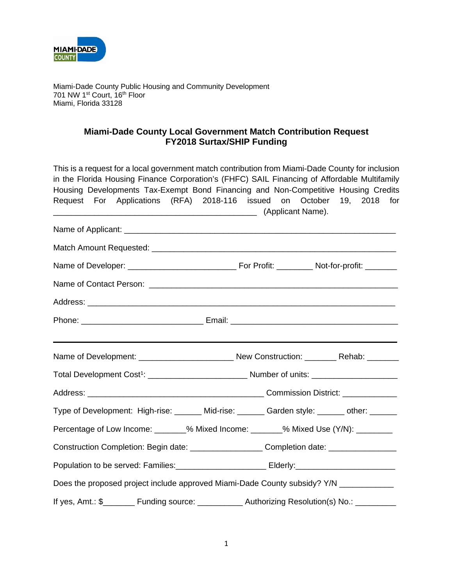

Miami-Dade County Public Housing and Community Development 701 NW 1<sup>st</sup> Court, 16<sup>th</sup> Floor Miami, Florida 33128

## **Miami-Dade County Local Government Match Contribution Request FY2018 Surtax/SHIP Funding**

|                                                                                                     | This is a request for a local government match contribution from Miami-Dade County for inclusion |
|-----------------------------------------------------------------------------------------------------|--------------------------------------------------------------------------------------------------|
|                                                                                                     | in the Florida Housing Finance Corporation's (FHFC) SAIL Financing of Affordable Multifamily     |
|                                                                                                     | Housing Developments Tax-Exempt Bond Financing and Non-Competitive Housing Credits               |
|                                                                                                     | Request For Applications (RFA) 2018-116 issued on October 19, 2018 for                           |
|                                                                                                     |                                                                                                  |
|                                                                                                     |                                                                                                  |
|                                                                                                     |                                                                                                  |
|                                                                                                     |                                                                                                  |
|                                                                                                     |                                                                                                  |
|                                                                                                     |                                                                                                  |
|                                                                                                     |                                                                                                  |
|                                                                                                     |                                                                                                  |
|                                                                                                     |                                                                                                  |
|                                                                                                     |                                                                                                  |
|                                                                                                     | Type of Development: High-rise: ______ Mid-rise: ______ Garden style: _____ other: ______        |
| Percentage of Low Income: _______% Mixed Income: _______% Mixed Use (Y/N): ______                   |                                                                                                  |
|                                                                                                     | Construction Completion: Begin date: _____________________Completion date: ___________________   |
| Population to be served: Families:______________________________Elderly:___________________________ |                                                                                                  |
| Does the proposed project include approved Miami-Dade County subsidy? Y/N ____________              |                                                                                                  |
|                                                                                                     | If yes, Amt.: \$________ Funding source: ___________ Authorizing Resolution(s) No.: _________    |